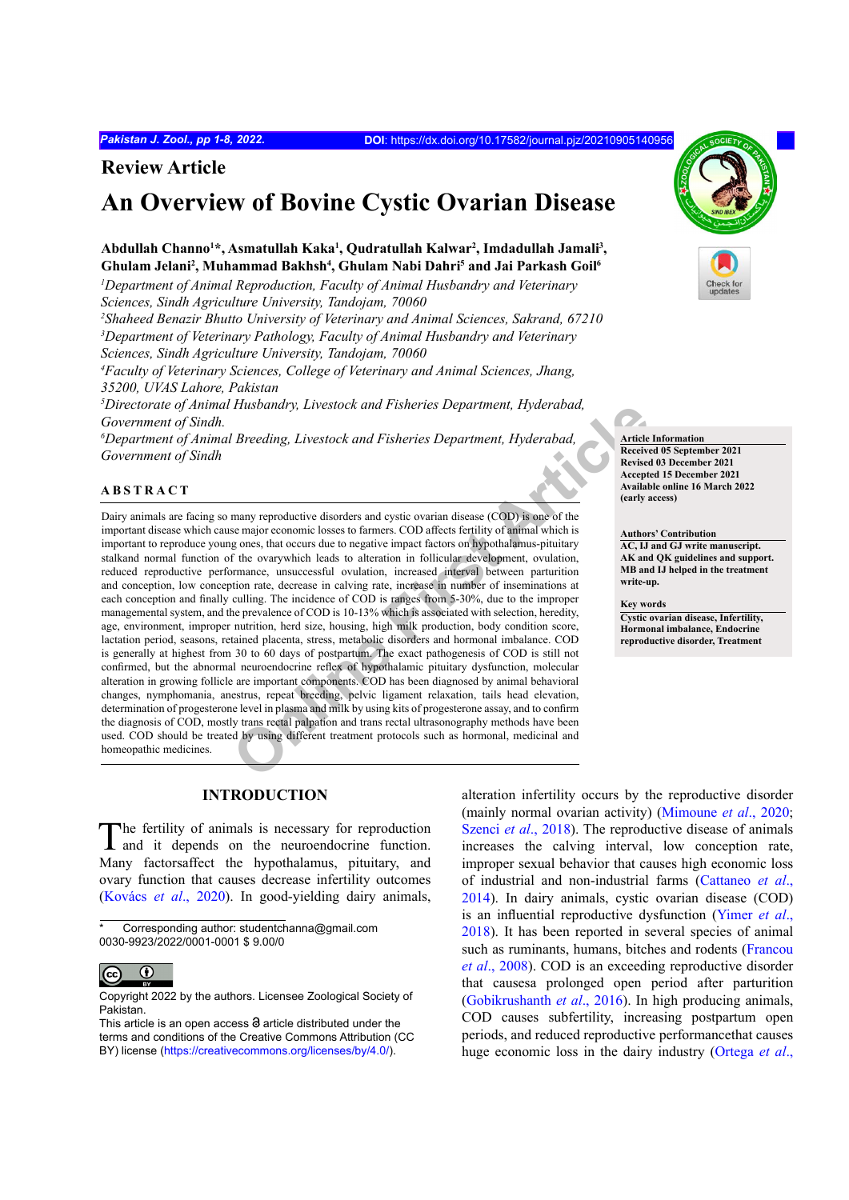# **Review Article**

# **An Overview of Bovine Cystic Ovarian Disease**

# Abdullah Channo<sup>1\*</sup>, Asmatullah Kaka<sup>1</sup>, Qudratullah Kalwar<sup>2</sup>, Imdadullah Jamali<sup>3</sup>, Ghulam Jelani<sup>2</sup>, Muhammad Bakhsh<sup>4</sup>, Ghulam Nabi Dahri<sup>5</sup> and Jai Parkash Goil<sup>6</sup>

*1 Department of Animal Reproduction, Faculty of Animal Husbandry and Veterinary Sciences, Sindh Agriculture University, Tandojam, 70060* 

*2 Shaheed Benazir Bhutto University of Veterinary and Animal Sciences, Sakrand, 67210 3 Department of Veterinary Pathology, Faculty of Animal Husbandry and Veterinary Sciences, Sindh Agriculture University, Tandojam, 70060* 

*4 Faculty of Veterinary Sciences, College of Veterinary and Animal Sciences, Jhang, 35200, UVAS Lahore, Pakistan*

*5 Directorate of Animal Husbandry, Livestock and Fisheries Department, Hyderabad, Government of Sindh.* 

*6 Department of Animal Breeding, Livestock and Fisheries Department, Hyderabad, Government of Sindh*

### **ABSTRACT**

**Consumer State Article Consumer Consumer Consumer Consumer Consumer Consumer Consumer State and Big and State of the Receiption of the Receiption of the Secret Article<br>
Consumer State Article Receiption of the Secret Arti** Dairy animals are facing so many reproductive disorders and cystic ovarian disease (COD) is one of the important disease which cause major economic losses to farmers. COD affects fertility of animal which is important to reproduce young ones, that occurs due to negative impact factors on hypothalamus-pituitary stalkand normal function of the ovarywhich leads to alteration in follicular development, ovulation, reduced reproductive performance, unsuccessful ovulation, increased interval between parturition and conception, low conception rate, decrease in calving rate, increase in number of inseminations at each conception and finally culling. The incidence of COD is ranges from 5-30%, due to the improper managemental system, and the prevalence of COD is 10-13% which is associated with selection, heredity, age, environment, improper nutrition, herd size, housing, high milk production, body condition score, lactation period, seasons, retained placenta, stress, metabolic disorders and hormonal imbalance. COD is generally at highest from 30 to 60 days of postpartum. The exact pathogenesis of COD is still not confirmed, but the abnormal neuroendocrine reflex of hypothalamic pituitary dysfunction, molecular alteration in growing follicle are important components. COD has been diagnosed by animal behavioral changes, nymphomania, anestrus, repeat breeding, pelvic ligament relaxation, tails head elevation, determination of progesterone level in plasma and milk by using kits of progesterone assay, and to confirm the diagnosis of COD, mostly trans rectal palpation and trans rectal ultrasonography methods have been used. COD should be treated by using different treatment protocols such as hormonal, medicinal and homeopathic medicines.

# **INTRODUCTION**

The fertility of animals is necessary for reproduction and it depends on the neuroendocrine function. Many factorsaffect the hypothalamus, pituitary, and ovary function that causes decrease infertility outcomes (Kovács *et al*., 2020). In good-yielding dairy animals,

alteration infertility occurs by the reproductive disorder (mainly normal ovarian activity) [\(Mimoune](#page-6-0) *et al*., 2020; [Szenci](#page-7-0) *et al.*, 2018). The reproductive disease of animals increases the calving interval, low conception rate, improper sexual behavior that causes high economic loss of industrial and non-industrial farms (Cattaneo *et al*., 2014). In dairy animals, cystic ovarian disease (COD) is an influential reproductive dysfunction (Yimer *et al*., 2018). It has been reported in several species of animal such as ruminants, humans, bitches and rodents ([Francou](#page-5-0) *et al*[., 2008](#page-5-0)). COD is an exceeding reproductive disorder that causesa prolonged open period after parturition [\(Gobikrushanth](#page-5-1) *et al*., 2016). In high producing animals, COD causes subfertility, increasing postpartum open periods, and reduced reproductive performancethat causes huge economic loss in the dairy industry (Ortega *et al*.,





**Received 05 September 2021 Revised 03 December 2021 Accepted 15 December 2021 Available online 16 March 2022 (early access)**

**Authors' Contribution**

**AC, IJ and GJ write manuscript. AK and QK guidelines and support. MB and IJ helped in the treatment write-up.**

**Key words**

**Cystic ovarian disease, Infertility, Hormonal imbalance, Endocrine reproductive disorder, Treatment**

Corresponding author: studentchanna@gmail.com 0030-9923/2022/0001-0001 \$ 9.00/0

 $\odot$  $\overline{(\text{cc})}$ 

Copyright 2022 by the authors. Licensee Zoological Society of Pakistan.

This article is an open access  $\Theta$  article distributed under the terms and conditions of the Creative Commons Attribution (CC BY) license (https://creativecommons.org/licenses/by/4.0/).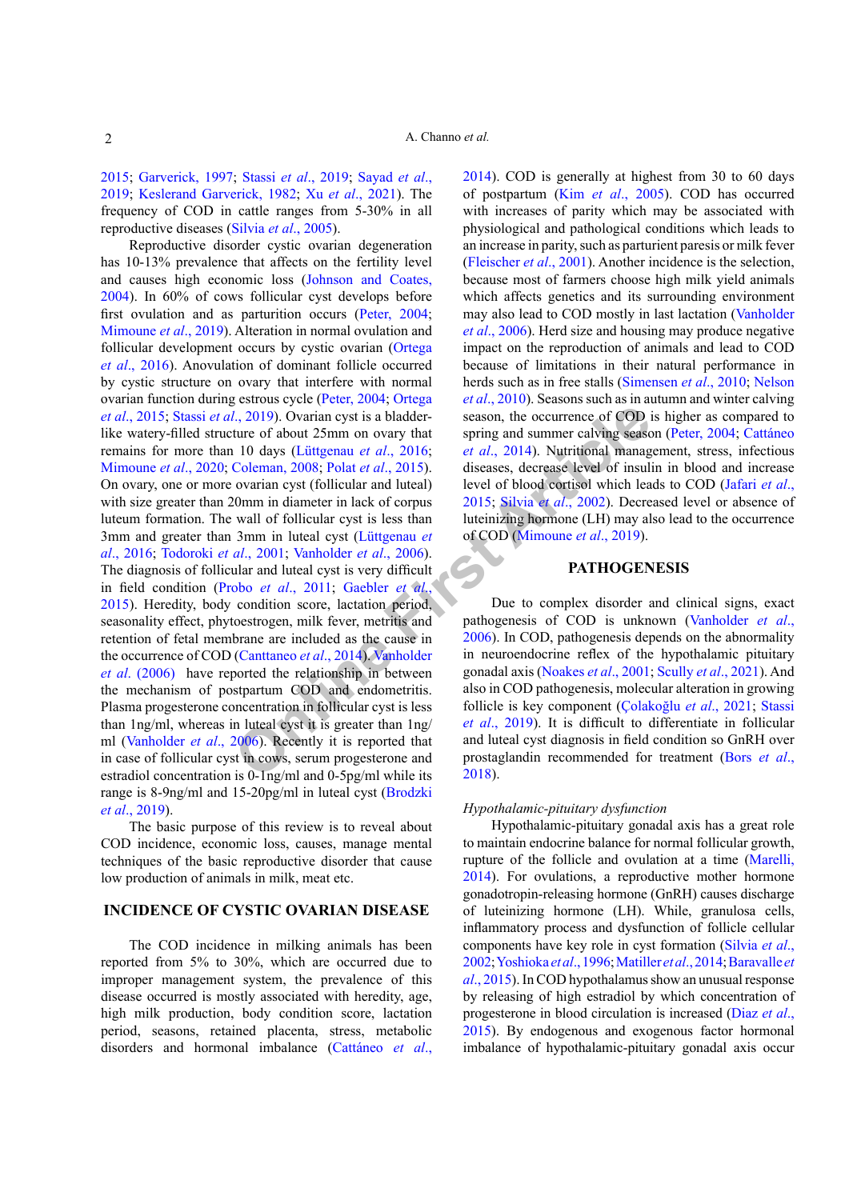2015; [Garverick, 1997](#page-5-2); Stassi *et al*[., 2019](#page-7-1); [Sayad](#page-6-1) *et al*., [2019](#page-6-1); [Keslerand Garverick, 1982](#page-5-3); Xu *et al*., 2021). The frequency of COD in cattle ranges from 5-30% in all reproductive diseases (Silvia *et al*[., 2005](#page-7-2)).

**Example 10** is the contribution of the contribution of the contribution of about 25mm on ovary that spring and summer calving season, the occurrence of COD is turned the spring and summer calving season, the occurrence o Reproductive disorder cystic ovarian degeneration has 10-13% prevalence that affects on the fertility level and causes high economic loss ([Johnson and Coates,](#page-5-4) [2004\)](#page-5-4). In 60% of cows follicular cyst develops before first ovulation and as parturition occurs [\(Peter, 2004](#page-6-2); [Mimoune](#page-6-3) *et al*., 2019). Alteration in normal ovulation and follicular development occurs by cystic ovarian (Ortega *et al*., 2016). Anovulation of dominant follicle occurred by cystic structure on ovary that interfere with normal ovarian function during estrous cycle ([Peter, 2004](#page-6-2); Ortega *et al*., 2015; Stassi *et al*., 2019). Ovarian cyst is a bladderlike watery-filled structure of about 25mm on ovary that remains for more than 10 days (Lüttgenau *et al*., 2016; [Mimoune](#page-6-0) *et al*., 2020; Coleman, 2008; Polat *et al*., 2015). On ovary, one or more ovarian cyst (follicular and luteal) with size greater than 20mm in diameter in lack of corpus luteum formation. The wall of follicular cyst is less than 3mm and greater than 3mm in luteal cyst (Lüttgenau *et al*., 2016; Todoroki *et al*., 2001; Vanholder *et al*., 2006). The diagnosis of follicular and luteal cyst is very difficult in field condition (Probo *et al*., 2011; Gaebler *et al*., [2015](#page-5-5)). Heredity, body condition score, lactation period, seasonality effect, phytoestrogen, milk fever, metritis and retention of fetal membrane are included as the cause in the occurrence of COD (Canttaneo *et al*., 2014). Vanholder *et al*. (2006) have reported the relationship in between the mechanism of postpartum COD and endometritis. Plasma progesterone concentration in follicular cyst is less than 1ng/ml, whereas in luteal cyst it is greater than 1ng/ ml (Vanholder *et al*., 2006). Recently it is reported that in case of follicular cyst in cows, serum progesterone and estradiol concentration is 0-1ng/ml and 0-5pg/ml while its range is 8-9ng/ml and 15-20pg/ml in luteal cyst (Brodzki *et al*., 2019).

The basic purpose of this review is to reveal about COD incidence, economic loss, causes, manage mental techniques of the basic reproductive disorder that cause low production of animals in milk, meat etc.

# **INCIDENCE OF CYSTIC OVARIAN DISEASE**

The COD incidence in milking animals has been reported from 5% to 30%, which are occurred due to improper management system, the prevalence of this disease occurred is mostly associated with heredity, age, high milk production, body condition score, lactation period, seasons, retained placenta, stress, metabolic disorders and hormonal imbalance (Cattáneo *et al*., 2014). COD is generally at highest from 30 to 60 days of postpartum (Kim *et al*[., 2005](#page-5-6)). COD has occurred with increases of parity which may be associated with physiological and pathological conditions which leads to an increase in parity, such as parturient paresis or milk fever [\(Fleischer](#page-5-7) *et al*., 2001). Another incidence is the selection, because most of farmers choose high milk yield animals which affects genetics and its surrounding environment may also lead to COD mostly in last lactation (Vanholder *et al*., 2006). Herd size and housing may produce negative impact on the reproduction of animals and lead to COD because of limitations in their natural performance in herds such as in free stalls (Simensen *et al*., 2010; Nelson *et al*., 2010). Seasons such as in autumn and winter calving season, the occurrence of COD is higher as compared to spring and summer calving season ([Peter, 2004](#page-6-2); Cattáneo *et al*., 2014). Nutritional management, stress, infectious diseases, decrease level of insulin in blood and increase level of blood cortisol which leads to COD ([Jafari](#page-5-8) *et al*., 2015; Silvia *et al*., 2002). Decreased level or absence of luteinizing hormone (LH) may also lead to the occurrence of COD (Mimoune *et al*., 2019).

# **PATHOGENESIS**

Due to complex disorder and clinical signs, exact pathogenesis of COD is unknown (Vanholder *et al*., 2006). In COD, pathogenesis depends on the abnormality in neuroendocrine reflex of the hypothalamic pituitary gonadal axis (Noakes *et al*., 2001; Scully *et al*., 2021). And also in COD pathogenesis, molecular alteration in growing follicle is key component ([Çolakoğlu](#page-4-1) *et al*., 2021; [Stassi](#page-7-1) *et al*., 2019). It is difficult to differentiate in follicular and luteal cyst diagnosis in field condition so GnRH over prostaglandin recommended for treatment (Bors *et al*., 2018).

### *Hypothalamic-pituitary dysfunction*

Hypothalamic-pituitary gonadal axis has a great role to maintain endocrine balance for normal follicular growth, rupture of the follicle and ovulation at a time ([Marelli,](#page-6-6) [2014](#page-6-6)). For ovulations, a reproductive mother hormone gonadotropin-releasing hormone (GnRH) causes discharge of luteinizing hormone (LH). While, granulosa cells, inflammatory process and dysfunction of follicle cellular components have key role in cyst formation [\(Silvia](#page-7-3) *et al*., [2002](#page-7-3); Yoshioka *et al*., 1996; [Matiller](#page-6-6) *et al*., 2014; Baravalle *et al*., 2015). In COD hypothalamus show an unusual response by releasing of high estradiol by which concentration of progesterone in blood circulation is increased (Diaz *et al*., 2015). By endogenous and exogenous factor hormonal imbalance of hypothalamic-pituitary gonadal axis occur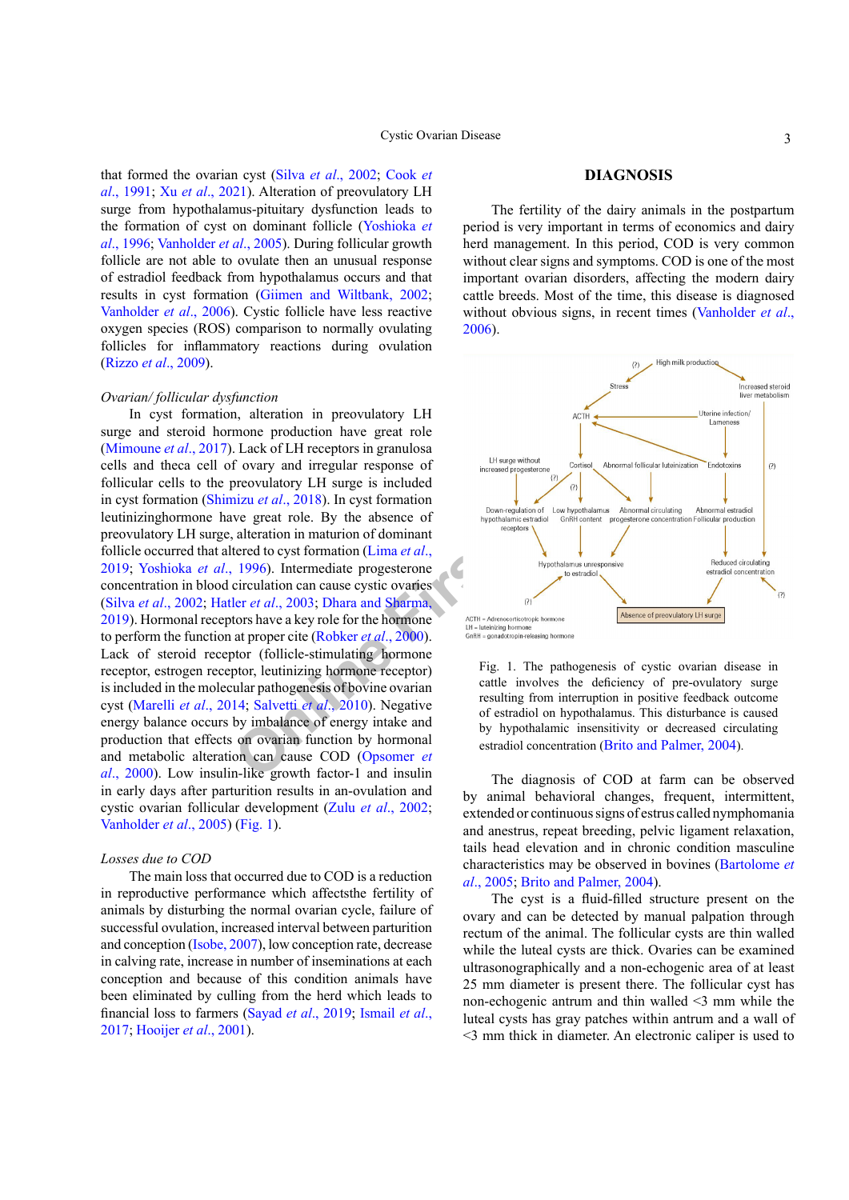that formed the ovarian cyst (Silva *et al*[., 2002](#page-7-3); [Cook](#page-4-2) *et al*[., 1991](#page-4-2); Xu *et al*., 2021). Alteration of preovulatory LH surge from hypothalamus-pituitary dysfunction leads to the formation of cyst on dominant follicle (Yoshioka *et al*., 1996; Vanholder *et al*., 2005). During follicular growth follicle are not able to ovulate then an unusual response of estradiol feedback from hypothalamus occurs and that results in cyst formation (Giimen and Wiltbank, 2002; Vanholder *et al*., 2006). Cystic follicle have less reactive oxygen species (ROS) comparison to normally ovulating follicles for inflammatory reactions during ovulation (Rizzo *et al*[., 2009](#page-6-7)).

## *Ovarian/ follicular dysfunction*

**EXERCUS ARTICLE ARTICLE ARTICLE ARTICLE ARTICLE ARTICLE ARTICLE ARTICLE ARTICLE ARTICLE ARTICLE ARTICLE ARTICLE ARTICLE ARTICLE ARTICLE ARTICLE ARTICLE ARTICLE ARTICLE ARTICLE ARTICLE ARTICLE ARTICLE ARTICLE ARTICLE ARTI** In cyst formation, alteration in preovulatory LH surge and steroid hormone production have great role [\(Mimoune](#page-6-8) *et al*., 2017). Lack of LH receptors in granulosa cells and theca cell of ovary and irregular response of follicular cells to the preovulatory LH surge is included in cyst formation (Shimizu *et al*., 2018). In cyst formation leutinizinghormone have great role. By the absence of preovulatory LH surge, alteration in maturion of dominant follicle occurred that altered to cyst formation (Lima *et al*., [2019](#page-5-9); Yoshioka *et al*., 1996). Intermediate progesterone concentration in blood circulation can cause cystic ovaries (Silva *et al*[., 2002](#page-7-3); Hatler *et al*., 2003; Dhara and Sharma, [2019](#page-4-3)). Hormonal receptors have a key role for the hormone to perform the function at proper cite (Robker *et al*., 2000). Lack of steroid receptor (follicle-stimulating hormone receptor, estrogen receptor, leutinizing hormone receptor) is included in the molecular pathogenesis of bovine ovarian cyst [\(Marelli](#page-6-6) *et al*., 2014; Salvetti *et al*., 2010). Negative energy balance occurs by imbalance of energy intake and production that effects on ovarian function by hormonal and metabolic alteration can cause COD (Opsomer *et al*., 2000). Low insulin-like growth factor-1 and insulin in early days after parturition results in an-ovulation and cystic ovarian follicular development (Zulu *et al*., 2002; Vanholder *et al*., 2005) [\(Fig. 1\)](#page-2-0).

#### *Losses due to COD*

The main loss that occurred due to COD is a reduction in reproductive performance which affectsthe fertility of animals by disturbing the normal ovarian cycle, failure of successful ovulation, increased interval between parturition and conception ([Isobe, 2007](#page-5-11)), low conception rate, decrease in calving rate, increase in number of inseminations at each conception and because of this condition animals have been eliminated by culling from the herd which leads to financial loss to farmers (Sayad *et al*[., 2019](#page-6-1); [Ismail](#page-5-12) *et al*., [2017](#page-5-12); [Hooijer](#page-5-13) *et al*., 2001).

# **DIAGNOSIS**

The fertility of the dairy animals in the postpartum period is very important in terms of economics and dairy herd management. In this period, COD is very common without clear signs and symptoms. COD is one of the most important ovarian disorders, affecting the modern dairy cattle breeds. Most of the time, this disease is diagnosed without obvious signs, in recent times (Vanholder *et al*., 2006).



<span id="page-2-0"></span>Fig. 1. The pathogenesis of cystic ovarian disease in cattle involves the deficiency of pre-ovulatory surge resulting from interruption in positive feedback outcome of estradiol on hypothalamus. This disturbance is caused by hypothalamic insensitivity or decreased circulating estradiol concentration ([Brito and Palmer, 2004](#page-4-4)).

The diagnosis of COD at farm can be observed by animal behavioral changes, frequent, intermittent, extended or continuous signs of estrus called nymphomania and anestrus, repeat breeding, pelvic ligament relaxation, tails head elevation and in chronic condition masculine characteristics may be observed in bovines ([Bartolome](#page-4-5) *et al*[., 2005](#page-4-5); [Brito and Palmer, 2004](#page-4-4)).

The cyst is a fluid-filled structure present on the ovary and can be detected by manual palpation through rectum of the animal. The follicular cysts are thin walled while the luteal cysts are thick. Ovaries can be examined ultrasonographically and a non-echogenic area of at least 25 mm diameter is present there. The follicular cyst has non-echogenic antrum and thin walled <3 mm while the luteal cysts has gray patches within antrum and a wall of <3 mm thick in diameter. An electronic caliper is used to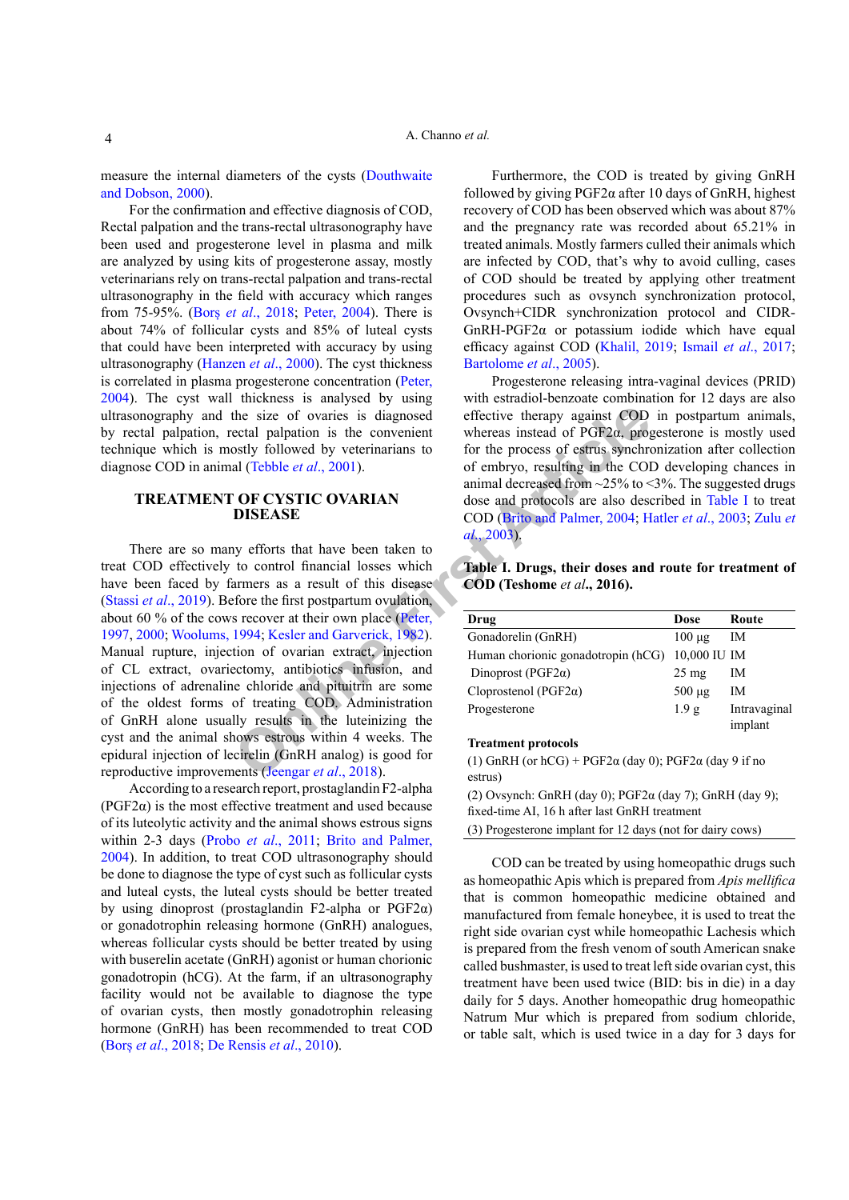measure the internal diameters of the cysts ([Douthwaite](#page-5-14) [and Dobson, 2000](#page-5-14)).

For the confirmation and effective diagnosis of COD, Rectal palpation and the trans-rectal ultrasonography have been used and progesterone level in plasma and milk are analyzed by using kits of progesterone assay, mostly veterinarians rely on trans-rectal palpation and trans-rectal ultrasonography in the field with accuracy which ranges from 75-95%. (Borș *et al*., 2018; [Peter, 2004\)](#page-6-2). There is about 74% of follicular cysts and 85% of luteal cysts that could have been interpreted with accuracy by using ultrasonography ([Hanzen](#page-5-15) *et al*., 2000). The cyst thickness is correlated in plasma progesterone concentration ([Peter,](#page-6-2) [2004\)](#page-6-2). The cyst wall thickness is analysed by using ultrasonography and the size of ovaries is diagnosed by rectal palpation, rectal palpation is the convenient technique which is mostly followed by veterinarians to diagnose COD in animal (Tebble *et al*., 2001).

# **TREATMENT OF CYSTIC OVARIAN DISEASE**

the size of ovaries is diagnosed effective therapy against C[O](#page-5-16)D<br>
c[e](#page-5-3)ctal palpation is the convenient whereas instead of PG[F](#page-5-3)2 $\alpha$ , prog<br>
all (Tebble *et al.*, 2001). or the process of estrus synchro<br>
an[i](#page-6-10)mal decreased from ~2 There are so many efforts that have been taken to treat COD effectively to control financial losses which have been faced by farmers as a result of this disease (Stassi *et al*[., 2019\)](#page-7-1). Before the first postpartum ovulation, about 60 % of the cows recover at their own place (Peter, [1997,](#page-6-10) [2000](#page-6-11); Woolums, 1994; Kesler and Garverick, 1982). Manual rupture, injection of ovarian extract, injection of CL extract, ovariectomy, antibiotics infusion, and injections of adrenaline chloride and pituitrin are some of the oldest forms of treating COD. Administration of GnRH alone usually results in the luteinizing the cyst and the animal shows estrous within 4 weeks. The epidural injection of lecirelin (GnRH analog) is good for reproductive improvements (Jeengar *et al*., 2018).

According to a research report, prostaglandin F2-alpha ( $PGF2\alpha$ ) is the most effective treatment and used because of its luteolytic activity and the animal shows estrous signs within 2-3 days (Probo *et al*[., 2011](#page-6-4); [Brito and Palmer,](#page-4-4) [2004](#page-4-4)). In addition, to treat COD ultrasonography should be done to diagnose the type of cyst such as follicular cysts and luteal cysts, the luteal cysts should be better treated by using dinoprost (prostaglandin F2-alpha or PGF2α) or gonadotrophin releasing hormone (GnRH) analogues, whereas follicular cysts should be better treated by using with buserelin acetate (GnRH) agonist or human chorionic gonadotropin (hCG). At the farm, if an ultrasonography facility would not be available to diagnose the type of ovarian cysts, then mostly gonadotrophin releasing hormone (GnRH) has been recommended to treat COD (Borș *et al*., 2018; De Rensis *et al*., 2010).

Furthermore, the COD is treated by giving GnRH followed by giving  $PGF2\alpha$  after 10 days of GnRH, highest recovery of COD has been observed which was about 87% and the pregnancy rate was recorded about 65.21% in treated animals. Mostly farmers culled their animals which are infected by COD, that's why to avoid culling, cases of COD should be treated by applying other treatment procedures such as ovsynch synchronization protocol, Ovsynch+CIDR synchronization protocol and CIDR-GnRH-PGF2α or potassium iodide which have equal efficacy against COD ([Khalil, 2019](#page-5-17); Ismail *et al*[., 2017](#page-5-12); [Bartolome](#page-4-5) *et al*., 2005).

Progesterone releasing intra-vaginal devices (PRID) with estradiol-benzoate combination for 12 days are also effective therapy against COD in postpartum animals, whereas instead of PGF2α, progesterone is mostly used for the process of estrus synchronization after collection of embryo, resulting in the COD developing chances in animal decreased from  $\approx$  25% to  $\leq$ 3%. The suggested drugs dose and protocols are also described in [Table I](#page-3-0) to treat COD (Brito and Palmer, 2004; Hatler *et al*[., 2003](#page-5-10); Zulu *et al*., 2003).

<span id="page-3-0"></span>**Table I. Drugs, their doses and route for treatment of COD (Teshome** *et al***., 2016).**

| Drug                                            | Dose             | Route                   |
|-------------------------------------------------|------------------|-------------------------|
| Gonadorelin (GnRH)                              | $100 \mu$ g      | IΜ                      |
| Human chorionic gonadotropin (hCG) 10,000 IU IM |                  |                         |
| Dinoprost (PGF2 $\alpha$ )                      | $25 \text{ mg}$  | IΜ                      |
| Cloprostenol (PGF2 $\alpha$ )                   | $500 \mu$ g      | ΙM                      |
| Progesterone                                    | 1.9 <sub>g</sub> | Intravaginal<br>implant |

#### **Treatment protocols**

(1) GnRH (or hCG) + PGF2 $\alpha$  (day 0); PGF2 $\alpha$  (day 9 if no estrus)

(2) Ovsynch: GnRH (day 0);  $PGF2\alpha$  (day 7); GnRH (day 9); fixed-time AI, 16 h after last GnRH treatment

(3) Progesterone implant for 12 days (not for dairy cows)

COD can be treated by using homeopathic drugs such as homeopathic Apis which is prepared from *Apis mellifica* that is common homeopathic medicine obtained and manufactured from female honeybee, it is used to treat the right side ovarian cyst while homeopathic Lachesis which is prepared from the fresh venom of south American snake called bushmaster, is used to treat left side ovarian cyst, this treatment have been used twice (BID: bis in die) in a day daily for 5 days. Another homeopathic drug homeopathic Natrum Mur which is prepared from sodium chloride, or table salt, which is used twice in a day for 3 days for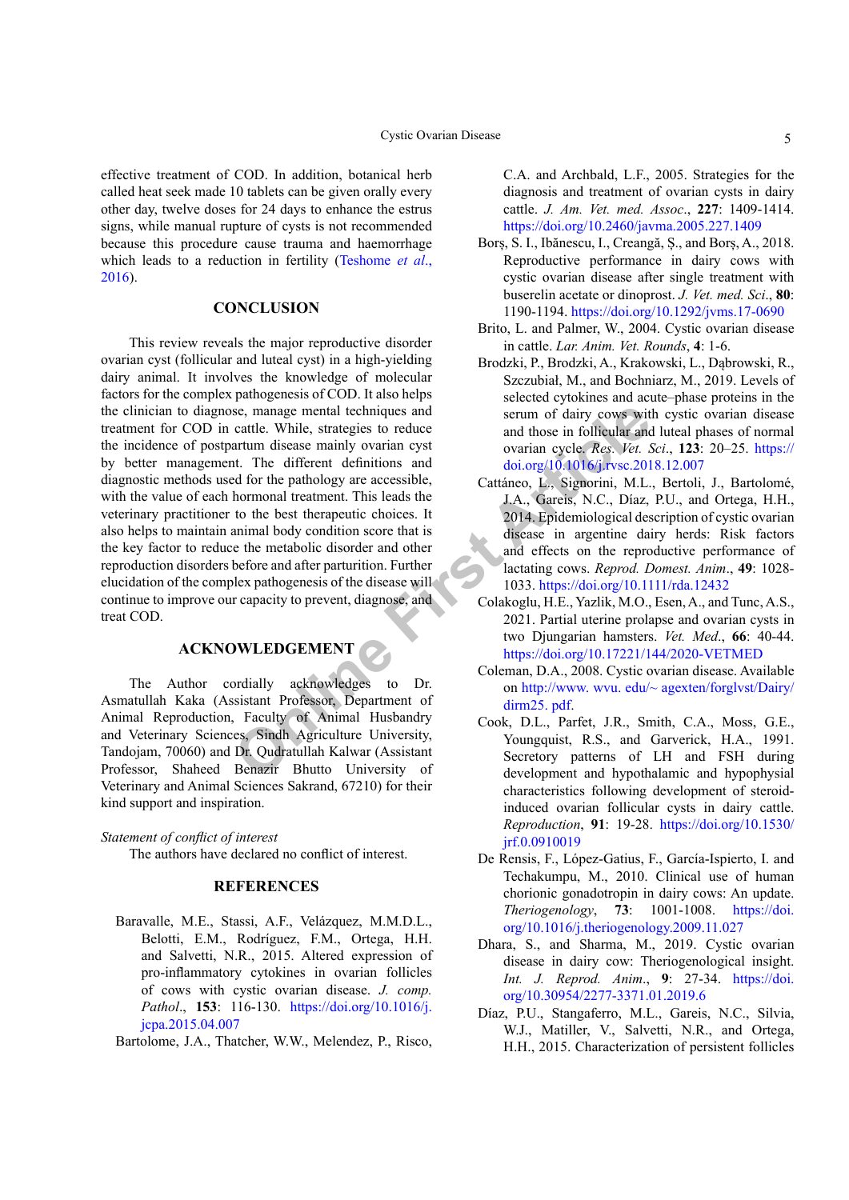effective treatment of COD. In addition, botanical herb called heat seek made 10 tablets can be given orally every other day, twelve doses for 24 days to enhance the estrus signs, while manual rupture of cysts is not recommended because this procedure cause trauma and haemorrhage which leads to a reduction in fertility (Teshome *et al*., 2016).

## **CONCLUSION**

e, manage mental techniques and<br>
article While, strategies to reduce<br>
article article article article article article<br>
article article article article article article article article article article article article article This review reveals the major reproductive disorder ovarian cyst (follicular and luteal cyst) in a high-yielding dairy animal. It involves the knowledge of molecular factors for the complex pathogenesis of COD. It also helps the clinician to diagnose, manage mental techniques and treatment for COD in cattle. While, strategies to reduce the incidence of postpartum disease mainly ovarian cyst by better management. The different definitions and diagnostic methods used for the pathology are accessible, with the value of each hormonal treatment. This leads the veterinary practitioner to the best therapeutic choices. It also helps to maintain animal body condition score that is the key factor to reduce the metabolic disorder and other reproduction disorders before and after parturition. Further elucidation of the complex pathogenesis of the disease will continue to improve our capacity to prevent, diagnose, and treat COD.

# **ACKNOWLEDGEMENT**

The Author cordially acknowledges to Dr. Asmatullah Kaka (Assistant Professor, Department of Animal Reproduction, Faculty of Animal Husbandry and Veterinary Sciences, Sindh Agriculture University, Tandojam, 70060) and Dr. Qudratullah Kalwar (Assistant Professor, Shaheed Benazir Bhutto University of Veterinary and Animal Sciences Sakrand, 67210) for their kind support and inspiration.

# *Statement of conflict of interest*

The authors have declared no conflict of interest.

### **REFERENCES**

- Baravalle, M.E., Stassi, A.F., Velázquez, M.M.D.L., Belotti, E.M., Rodríguez, F.M., Ortega, H.H. and Salvetti, N.R., 2015. Altered expression of pro-inflammatory cytokines in ovarian follicles of cows with cystic ovarian disease. *J. comp. Pathol*., **153**: 116-130. [https://doi.org/10.1016/j.](https://doi.org/10.1016/j.jcpa.2015.04.007) [jcpa.2015.04.007](https://doi.org/10.1016/j.jcpa.2015.04.007)
- <span id="page-4-5"></span>Bartolome, J.A., Thatcher, W.W., Melendez, P., Risco,

C.A. and Archbald, L.F., 2005. Strategies for the diagnosis and treatment of ovarian cysts in dairy cattle. *J. Am. Vet. med. Assoc*., **227**: 1409-1414. <https://doi.org/10.2460/javma.2005.227.1409>

- Borș, S. I., Ibănescu, I., Creangă, Ș., and Borș, A., 2018. Reproductive performance in dairy cows with cystic ovarian disease after single treatment with buserelin acetate or dinoprost. *J. Vet. med. Sci*., **80**: 1190-1194. <https://doi.org/10.1292/jvms.17-0690>
- <span id="page-4-4"></span>Brito, L. and Palmer, W., 2004. Cystic ovarian disease in cattle. *Lar. Anim. Vet. Rounds*, **4**: 1-6.
- Brodzki, P., Brodzki, A., Krakowski, L., Dąbrowski, R., Szczubiał, M., and Bochniarz, M., 2019. Levels of selected cytokines and acute–phase proteins in the serum of dairy cows with cystic ovarian disease and those in follicular and luteal phases of normal ovarian cycle. *Res. Vet. Sci*., **123**: 20–25. [https://](https://doi.org/10.1016/j.rvsc.2018.12.007) [doi.org/10.1016/j.rvsc.2018.12.007](https://doi.org/10.1016/j.rvsc.2018.12.007)
- Cattáneo, L., Signorini, M.L., Bertoli, J., Bartolomé, J.A., Gareis, N.C., Díaz, P.U., and Ortega, H.H., 2014. Epidemiological description of cystic ovarian disease in argentine dairy herds: Risk factors and effects on the reproductive performance of lactating cows. *Reprod. Domest. Anim*., **49**: 1028- 1033.<https://doi.org/10.1111/rda.12432>
- <span id="page-4-1"></span>Colakoglu, H.E., Yazlik, M.O., Esen, A., and Tunc, A.S., 2021. Partial uterine prolapse and ovarian cysts in two Djungarian hamsters. *Vet. Med*., **66**: 40-44. <https://doi.org/10.17221/144/2020-VETMED>
- <span id="page-4-0"></span>Coleman, D.A., 2008. Cystic ovarian disease. Available on [http://www. wvu. edu/~ agexten/forglvst/Dairy/](http://www. wvu. edu/~ agexten/forglvst/Dairy/dirm25. pdf) dirm25. pdf.
- <span id="page-4-2"></span>Cook, D.L., Parfet, J.R., Smith, C.A., Moss, G.E., Youngquist, R.S., and Garverick, H.A., 1991. Secretory patterns of LH and FSH during development and hypothalamic and hypophysial characteristics following development of steroidinduced ovarian follicular cysts in dairy cattle. *Reproduction*, **91**: 19-28. [https://doi.org/10.1530/](https://doi.org/10.1530/jrf.0.0910019) [jrf.0.0910019](https://doi.org/10.1530/jrf.0.0910019)
- De Rensis, F., López-Gatius, F., García-Ispierto, I. and Techakumpu, M., 2010. Clinical use of human chorionic gonadotropin in dairy cows: An update. *Theriogenology*, **73**: 1001-1008. [https://doi.](https://doi.org/10.1016/j.theriogenology.2009.11.027) [org/10.1016/j.theriogenology.2009.11.027](https://doi.org/10.1016/j.theriogenology.2009.11.027)
- <span id="page-4-3"></span>Dhara, S., and Sharma, M., 2019. Cystic ovarian disease in dairy cow: Theriogenological insight. *Int. J. Reprod. Anim*., **9**: 27-34. [https://doi.](https://doi.org/10.30954/2277-3371.01.2019.6) [org/10.30954/2277-3371.01.2019.6](https://doi.org/10.30954/2277-3371.01.2019.6)
- Díaz, P.U., Stangaferro, M.L., Gareis, N.C., Silvia, W.J., Matiller, V., Salvetti, N.R., and Ortega, H.H., 2015. Characterization of persistent follicles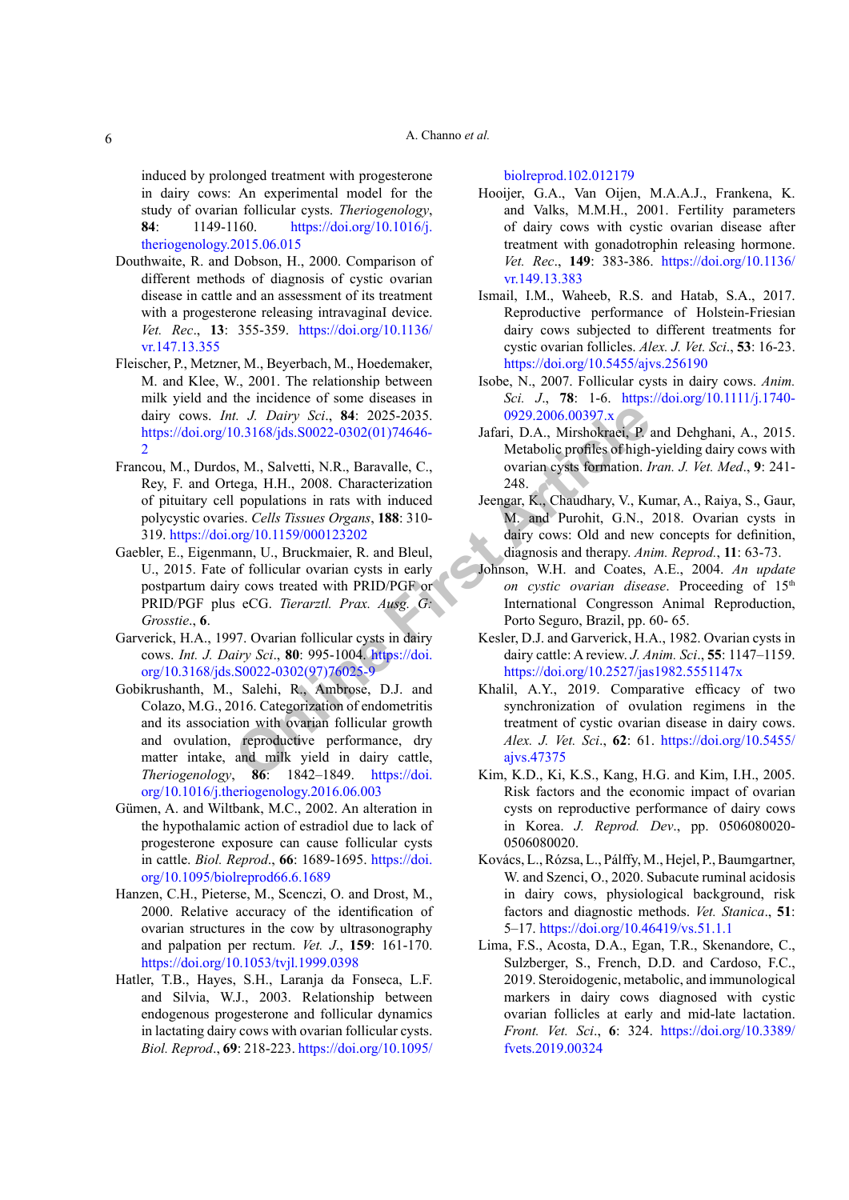induced by prolonged treatment with progesterone in dairy cows: An experimental model for the study of ovarian follicular cysts. *Theriogenology*, **84**: 1149-1160. [https://doi.org/10.1016/j.](https://doi.org/10.1016/j.theriogenology.2015.06.015) [theriogenology.2015.06.015](https://doi.org/10.1016/j.theriogenology.2015.06.015)

- <span id="page-5-14"></span>Douthwaite, R. and Dobson, H., 2000. Comparison of different methods of diagnosis of cystic ovarian disease in cattle and an assessment of its treatment with a progesterone releasing intravaginal device. *Vet. Rec*., **13**: 355-359. [https://doi.org/10.1136/](https://doi.org/10.1136/vr.147.13.355) [vr.147.13.355](https://doi.org/10.1136/vr.147.13.355)
- <span id="page-5-7"></span>Fleischer, P., Metzner, M., Beyerbach, M., Hoedemaker, M. and Klee, W., 2001. The relationship between milk yield and the incidence of some diseases in dairy cows. *Int. J. Dairy Sci*., **84**: 2025-2035. [https://doi.org/10.3168/jds.S0022-0302\(01\)74646-](https://doi.org/10.3168/jds.S0022-0302(01)74646-2)  $\mathcal{L}$
- <span id="page-5-0"></span>Francou, M., Durdos, M., Salvetti, N.R., Baravalle, C., Rey, F. and Ortega, H.H., 2008. Characterization of pituitary cell populations in rats with induced polycystic ovaries. *Cells Tissues Organs*, **188**: 310- 319.<https://doi.org/10.1159/000123202>
- <span id="page-5-5"></span>Gaebler, E., Eigenmann, U., Bruckmaier, R. and Bleul, U., 2015. Fate of follicular ovarian cysts in early postpartum dairy cows treated with PRID/PGF or PRID/PGF plus eCG. *Tierarztl. Prax. Ausg. G: Grosstie*., **6**.
- <span id="page-5-2"></span><span id="page-5-1"></span>Garverick, H.A., 1997. Ovarian follicular cysts in dairy cows. *Int. J. Dairy Sci*., **80**: 995-1004. https://doi. [org/10.3168/jds.S0022-0302\(97\)76025-9](https://doi.org/10.3168/jds.S0022-0302(97)76025-9)
- 1. *J. Dairy Sci.*, **84**: 2025-2035. 0929.2006.00397.x 0.3168/jds.S0022-0302(01)74646-<br> **Samman**, D.A., Mirshokraei, P. Metabolic profiles of high-<br>
tega, H.H., 2008. Characterization 248. Properties ar[e](https://doi.org/10.3168/jds.S0022-0302(97)76025-9) the populations in Gobikrushanth, M., Salehi, R., Ambrose, D.J. and Colazo, M.G., 2016. Categorization of endometritis and its association with ovarian follicular growth and ovulation, reproductive performance, dry matter intake, and milk yield in dairy cattle, *Theriogenology*, **86**: 1842–1849. https://doi. [org/10.1016/j.theriogenology.2016.06.003](https://doi.org/10.1016/j.theriogenology.2016.06.003)
- Gümen, A. and Wiltbank, M.C., 2002. An alteration in the hypothalamic action of estradiol due to lack of progesterone exposure can cause follicular cysts in cattle. *Biol. Reprod*., **66**: 1689-1695. [https://doi.](https://doi.org/10.1095/biolreprod66.6.1689) [org/10.1095/biolreprod66.6.1689](https://doi.org/10.1095/biolreprod66.6.1689)
- <span id="page-5-15"></span>Hanzen, C.H., Pieterse, M., Scenczi, O. and Drost, M., 2000. Relative accuracy of the identification of ovarian structures in the cow by ultrasonography and palpation per rectum. *Vet. J*., **159**: 161-170. <https://doi.org/10.1053/tvjl.1999.0398>
- <span id="page-5-10"></span>Hatler, T.B., Hayes, S.H., Laranja da Fonseca, L.F. and Silvia, W.J., 2003. Relationship between endogenous progesterone and follicular dynamics in lactating dairy cows with ovarian follicular cysts. *Biol. Reprod*., **69**: 218-223. [https://doi.org/10.1095/](https://doi.org/10.1095/biolreprod.102.012179)

[biolreprod.102.012179](https://doi.org/10.1095/biolreprod.102.012179)

- <span id="page-5-13"></span>Hooijer, G.A., Van Oijen, M.A.A.J., Frankena, K. and Valks, M.M.H., 2001. Fertility parameters of dairy cows with cystic ovarian disease after treatment with gonadotrophin releasing hormone. *Vet. Rec*., **149**: 383-386. [https://doi.org/10.1136/](https://doi.org/10.1136/vr.149.13.383) [vr.149.13.383](https://doi.org/10.1136/vr.149.13.383)
- <span id="page-5-12"></span>Ismail, I.M., Waheeb, R.S. and Hatab, S.A., 2017. Reproductive performance of Holstein-Friesian dairy cows subjected to different treatments for cystic ovarian follicles. *Alex. J. Vet. Sci*., **53**: 16-23. <https://doi.org/10.5455/ajvs.256190>
- <span id="page-5-11"></span>Isobe, N., 2007. Follicular cysts in dairy cows. *Anim. Sci. J*., **78**: 1-6. [https://doi.org/10.1111/j.1740-](https://doi.org/10.1111/j.1740-0929.2006.00397.x) 0929.2006.00397.x
- <span id="page-5-8"></span>Jafari, D.A., Mirshokraei, P. and Dehghani, A., 2015. Metabolic profiles of high-yielding dairy cows with ovarian cysts formation. *Iran. J. Vet. Med*., **9**: 241- 248.
- <span id="page-5-16"></span>Jeengar, K., Chaudhary, V., Kumar, A., Raiya, S., Gaur, M. and Purohit, G.N., 2018. Ovarian cysts in dairy cows: Old and new concepts for definition, diagnosis and therapy. *Anim. Reprod.*, **11**: 63-73.
- <span id="page-5-4"></span>Johnson, W.H. and Coates, A.E., 2004. *An update*  on cystic ovarian disease. Proceeding of 15<sup>th</sup> International Congresson Animal Reproduction, Porto Seguro, Brazil, pp. 60- 65.
- <span id="page-5-3"></span>Kesler, D.J. and Garverick, H.A., 1982. Ovarian cysts in dairy cattle: A review. *J. Anim. Sci*., **55**: 1147–1159. <https://doi.org/10.2527/jas1982.5551147x>
- <span id="page-5-17"></span>Khalil, A.Y., 2019. Comparative efficacy of two synchronization of ovulation regimens in the treatment of cystic ovarian disease in dairy cows. *Alex. J. Vet. Sci*., **62**: 61. [https://doi.org/10.5455/](https://doi.org/10.5455/ajvs.47375) ajvs.47375
- <span id="page-5-6"></span>Kim, K.D., Ki, K.S., Kang, H.G. and Kim, I.H., 2005. Risk factors and the economic impact of ovarian cysts on reproductive performance of dairy cows in Korea. *J. Reprod. Dev*., pp. 0506080020- 0506080020.
- Kovács, L., Rózsa, L., Pálffy, M., Hejel, P., Baumgartner, W. and Szenci, O., 2020. Subacute ruminal acidosis in dairy cows, physiological background, risk factors and diagnostic methods. *Vet. Stanica*., **51**: 5–17.<https://doi.org/10.46419/vs.51.1.1>
- <span id="page-5-9"></span>Lima, F.S., Acosta, D.A., Egan, T.R., Skenandore, C., Sulzberger, S., French, D.D. and Cardoso, F.C., 2019. Steroidogenic, metabolic, and immunological markers in dairy cows diagnosed with cystic ovarian follicles at early and mid-late lactation. *Front. Vet. Sci*., **6**: 324. [https://doi.org/10.3389/](https://doi.org/10.3389/fvets.2019.00324) [fvets.2019.00324](https://doi.org/10.3389/fvets.2019.00324)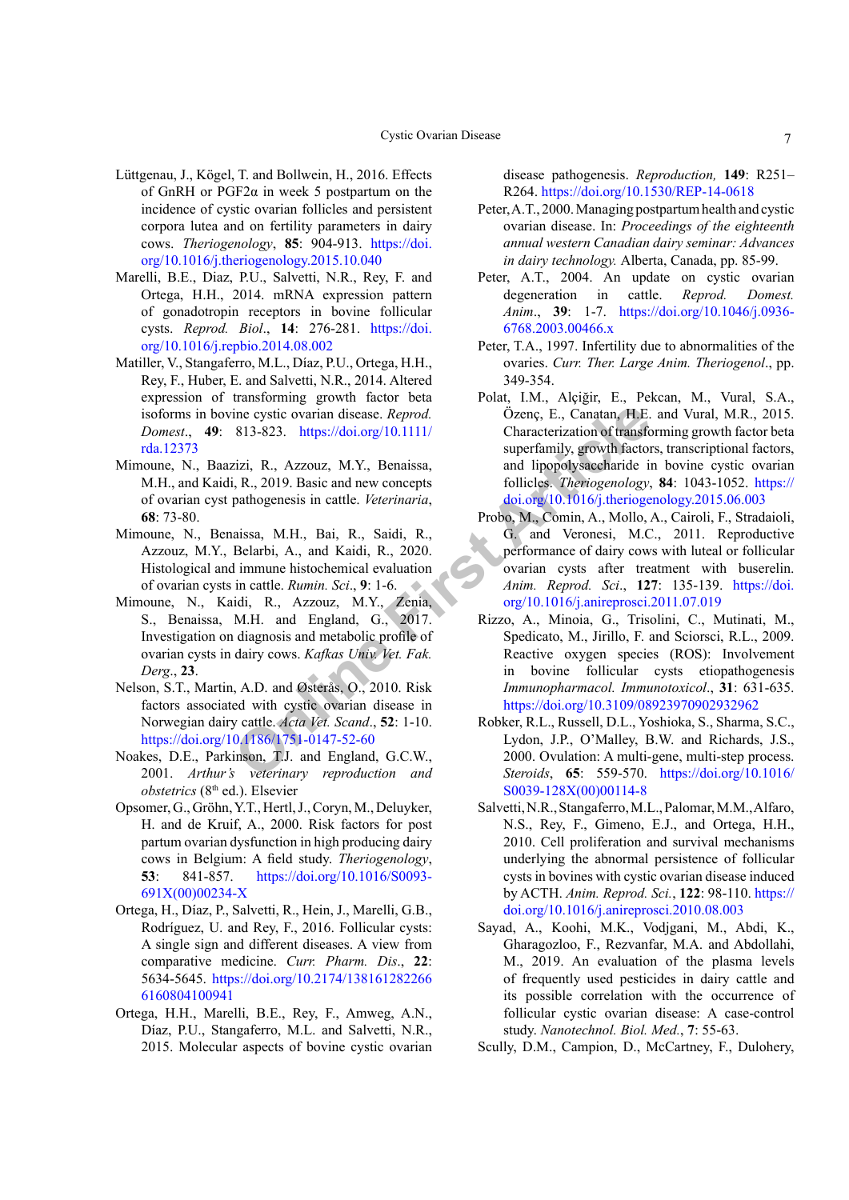- Lüttgenau, J., Kögel, T. and Bollwein, H., 2016. Effects of GnRH or  $PGF2\alpha$  in week 5 postpartum on the incidence of cystic ovarian follicles and persistent corpora lutea and on fertility parameters in dairy cows. *Theriogenology*, **85**: 904-913. [https://doi.](https://doi.org/10.1016/j.theriogenology.2015.10.040) [org/10.1016/j.theriogenology.2015.10.040](https://doi.org/10.1016/j.theriogenology.2015.10.040)
- <span id="page-6-6"></span>Marelli, B.E., Diaz, P.U., Salvetti, N.R., Rey, F. and Ortega, H.H., 2014. mRNA expression pattern of gonadotropin receptors in bovine follicular cysts. *Reprod. Biol*., **14**: 276-281. [https://doi.](https://doi.org/10.1016/j.repbio.2014.08.002) [org/10.1016/j.repbio.2014.08.002](https://doi.org/10.1016/j.repbio.2014.08.002)
- Matiller, V., Stangaferro, M.L., Díaz, P.U., Ortega, H.H., Rey, F., Huber, E. and Salvetti, N.R., 2014. Altered expression of transforming growth factor beta isoforms in bovine cystic ovarian disease. *Reprod. Domest*., **49**: 813-823. https://doi.org/10.1111/ [rda.12373](https://doi.org/10.1111/rda.12373)
- <span id="page-6-3"></span>Mimoune, N., Baazizi, R., Azzouz, M.Y., Benaissa, M.H., and Kaidi, R., 2019. Basic and new concepts of ovarian cyst pathogenesis in cattle. *Veterinaria*, **68**: 73-80.
- <span id="page-6-0"></span>Mimoune, N., Benaissa, M.H., Bai, R., Saidi, R., Azzouz, M.Y., Belarbi, A., and Kaidi, R., 2020. Histological and immune histochemical evaluation of ovarian cysts in cattle. *Rumin. Sci*., **9**: 1-6.
- <span id="page-6-8"></span>Mimoune, N., Kaidi, R., Azzouz, M.Y., Zenia, S., Benaissa, M.H. and England, G., 2017. Investigation on diagnosis and metabolic profile of ovarian cysts in dairy cows. *Kafkas Univ. Vet. Fak. Derg*., **23**.
- Nelson, S.T., Martin, A.D. and Østerås, O., 2010. Risk factors associated with cystic ovarian disease in Norwegian dairy cattle. *Acta Vet. Scand*., **52**: 1-10. <https://doi.org/10.1186/1751-0147-52-60>
- <span id="page-6-5"></span>Noakes, D.E., Parkinson, T.J. and England, G.C.W., 2001. *Arthur's veterinary reproduction and obstetrics* (8th ed.). Elsevier
- <span id="page-6-9"></span>Opsomer, G., Gröhn, Y.T., Hertl, J., Coryn, M., Deluyker, H. and de Kruif, A., 2000. Risk factors for post partum ovarian dysfunction in high producing dairy cows in Belgium: A field study. *Theriogenology*, **53**: 841-857. [https://doi.org/10.1016/S0093-](https://doi.org/10.1016/S0093-691X(00)00234-X) [691X\(00\)00234-X](https://doi.org/10.1016/S0093-691X(00)00234-X)
- <span id="page-6-1"></span>Ortega, H., Díaz, P., Salvetti, R., Hein, J., Marelli, G.B., Rodríguez, U. and Rey, F., 2016. Follicular cysts: A single sign and different diseases. A view from comparative medicine. *Curr. Pharm. Dis*., **22**: 5634-5645. [https://doi.org/10.2174/138161282266](https://doi.org/10.2174/1381612822666160804100941) [6160804100941](https://doi.org/10.2174/1381612822666160804100941)
- Ortega, H.H., Marelli, B.E., Rey, F., Amweg, A.N., Díaz, P.U., Stangaferro, M.L. and Salvetti, N.R., 2015. Molecular aspects of bovine cystic ovarian

disease pathogenesis. *Reproduction,* **149**: R251– R264. <https://doi.org/10.1530/REP-14-0618>

- <span id="page-6-11"></span>Peter, A.T., 2000. Managing postpartum health and cystic ovarian disease. In: *Proceedings of the eighteenth annual western Canadian dairy seminar: Advances in dairy technology.* Alberta, Canada, pp. 85-99.
- <span id="page-6-2"></span>Peter, A.T., 2004. An update on cystic ovarian degeneration in cattle. *Reprod. Domest. Anim*., **39**: 1-7. [https://doi.org/10.1046/j.0936-](https://doi.org/10.1046/j.0936-6768.2003.00466.x) [6768.2003.00466.x](https://doi.org/10.1046/j.0936-6768.2003.00466.x)
- <span id="page-6-10"></span><span id="page-6-7"></span><span id="page-6-4"></span>Peter, T.A., 1997. Infertility due to abnormalities of the ovaries. *Curr. Ther. Large Anim. Theriogenol*., pp. 349-354.
- ine cystic ovarian disease. *Reprod.* (2) Online Characterization of transferred in the article in the superfamily, growth factorize in , i, R, 2020, and impopply a since the *Meteriaria*, i, R, 2020. (anissa, M.H., Bai, R Polat, I.M., Alçiğir, E., Pekcan, M., Vural, S.A., Özenç, E., Canatan, H.E. and Vural, M.R., 2015. Characterization of transforming growth factor beta superfamily, growth factors, transcriptional factors, and lipopolysaccharide in bovine cystic ovarian follicles. *Theriogenology*, **84**: 1043-1052. [https://](https://doi.org/10.1016/j.theriogenology.2015.06.003) [doi.org/10.1016/j.theriogenology.2015.06.003](https://doi.org/10.1016/j.theriogenology.2015.06.003)
	- Probo, M., Comin, A., Mollo, A., Cairoli, F., Stradaioli, G. and Veronesi, M.C., 2011. Reproductive performance of dairy cows with luteal or follicular ovarian cysts after treatment with buserelin. *Anim. Reprod. Sci*., **127**: 135-139. [https://doi.](https://doi.org/10.1016/j.anireprosci.2011.07.019) [org/10.1016/j.anireprosci.2011.07.019](https://doi.org/10.1016/j.anireprosci.2011.07.019)
	- Rizzo, A., Minoia, G., Trisolini, C., Mutinati, M., Spedicato, M., Jirillo, F. and Sciorsci, R.L., 2009. Reactive oxygen species (ROS): Involvement in bovine follicular cysts etiopathogenesis *Immunopharmacol. Immunotoxicol*., **31**: 631-635. <https://doi.org/10.3109/08923970902932962>
	- Robker, R.L., Russell, D.L., Yoshioka, S., Sharma, S.C., Lydon, J.P., O'Malley, B.W. and Richards, J.S., 2000. Ovulation: A multi-gene, multi-step process. *Steroids*, **65**: 559-570. [https://doi.org/10.1016/](https://doi.org/10.1016/S0039-128X(00)00114-8) [S0039-128X\(00\)00114-8](https://doi.org/10.1016/S0039-128X(00)00114-8)
	- Salvetti, N.R., Stangaferro, M.L., Palomar, M.M., Alfaro, N.S., Rey, F., Gimeno, E.J., and Ortega, H.H., 2010. Cell proliferation and survival mechanisms underlying the abnormal persistence of follicular cysts in bovines with cystic ovarian disease induced by ACTH. *Anim. Reprod. Sci.*, **122**: 98-110. [https://](https://doi.org/10.1016/j.anireprosci.2010.08.003) [doi.org/10.1016/j.anireprosci.2010.08.003](https://doi.org/10.1016/j.anireprosci.2010.08.003)
	- Sayad, A., Koohi, M.K., Vodjgani, M., Abdi, K., Gharagozloo, F., Rezvanfar, M.A. and Abdollahi, M., 2019. An evaluation of the plasma levels of frequently used pesticides in dairy cattle and its possible correlation with the occurrence of follicular cystic ovarian disease: A case-control study. *Nanotechnol. Biol. Med.*, **7**: 55-63.
	- Scully, D.M., Campion, D., McCartney, F., Dulohery,